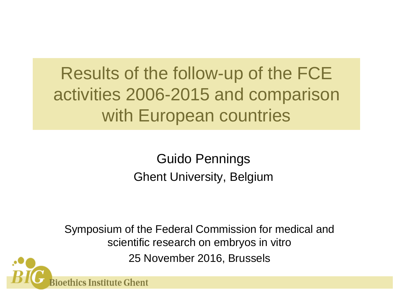# Results of the follow-up of the FCE activities 2006-2015 and comparison with European countries

Guido Pennings Ghent University, Belgium

Symposium of the Federal Commission for medical and scientific research on embryos in vitro 25 November 2016, Brussels

hics Institute Ghent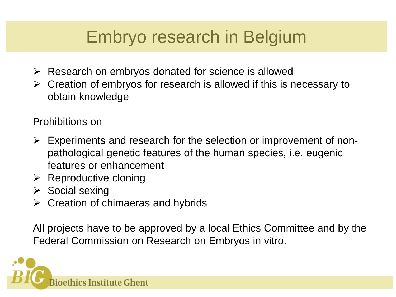## Embryo research in Belgium

- $\triangleright$  Research on embryos donated for science is allowed
- $\triangleright$  Creation of embryos for research is allowed if this is necessary to obtain knowledge

Prohibitions on

- $\triangleright$  Experiments and research for the selection or improvement of nonpathological genetic features of the human species, i.e. eugenic features or enhancement
- $\triangleright$  Reproductive cloning
- $\triangleright$  Social sexing
- $\triangleright$  Creation of chimaeras and hybrids

All projects have to be approved by a local Ethics Committee and by the Federal Commission on Research on Embryos in vitro.

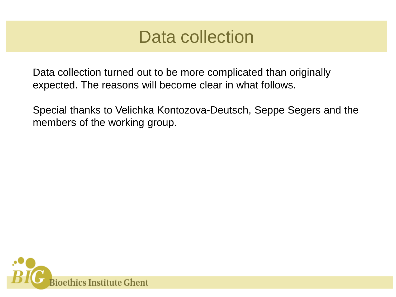#### Data collection

Data collection turned out to be more complicated than originally expected. The reasons will become clear in what follows.

Special thanks to Velichka Kontozova-Deutsch, Seppe Segers and the members of the working group.

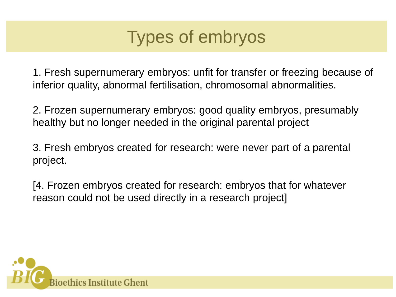## Types of embryos

1. Fresh supernumerary embryos: unfit for transfer or freezing because of inferior quality, abnormal fertilisation, chromosomal abnormalities.

2. Frozen supernumerary embryos: good quality embryos, presumably healthy but no longer needed in the original parental project

3. Fresh embryos created for research: were never part of a parental project.

[4. Frozen embryos created for research: embryos that for whatever reason could not be used directly in a research project]

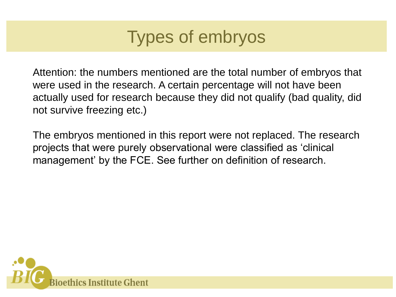## Types of embryos

Attention: the numbers mentioned are the total number of embryos that were used in the research. A certain percentage will not have been actually used for research because they did not qualify (bad quality, did not survive freezing etc.)

The embryos mentioned in this report were not replaced. The research projects that were purely observational were classified as 'clinical management' by the FCE. See further on definition of research.

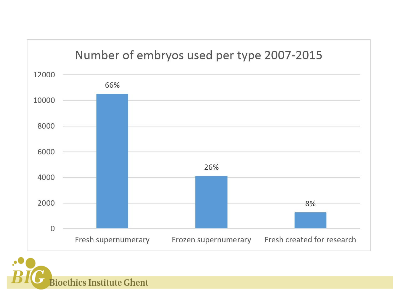

**Bioethics Institute Ghent**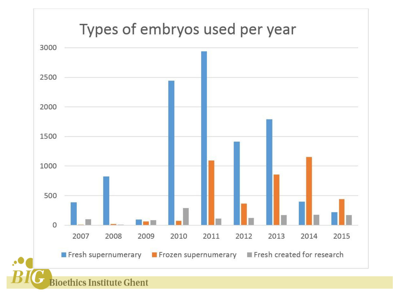#### Types of embryos used per year

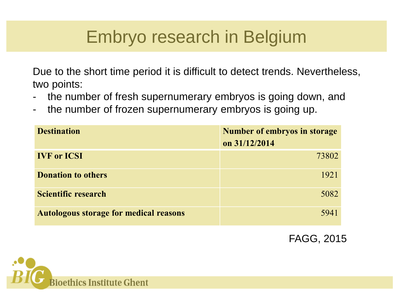## Embryo research in Belgium

Due to the short time period it is difficult to detect trends. Nevertheless, two points:

- the number of fresh supernumerary embryos is going down, and
- the number of frozen supernumerary embryos is going up.

| <b>Destination</b>                            | <b>Number of embryos in storage</b> |  |  |
|-----------------------------------------------|-------------------------------------|--|--|
|                                               | on 31/12/2014                       |  |  |
| <b>IVF</b> or <b>ICSI</b>                     | 73802                               |  |  |
| <b>Donation to others</b>                     | 1921                                |  |  |
| Scientific research                           | 5082                                |  |  |
| <b>Autologous storage for medical reasons</b> | 5941                                |  |  |

FAGG, 2015

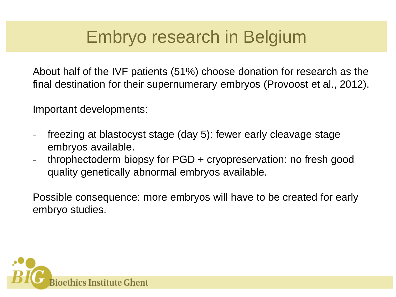## Embryo research in Belgium

About half of the IVF patients (51%) choose donation for research as the final destination for their supernumerary embryos (Provoost et al., 2012).

Important developments:

- freezing at blastocyst stage (day 5): fewer early cleavage stage embryos available.
- throphectoderm biopsy for PGD + cryopreservation: no fresh good quality genetically abnormal embryos available.

Possible consequence: more embryos will have to be created for early embryo studies.

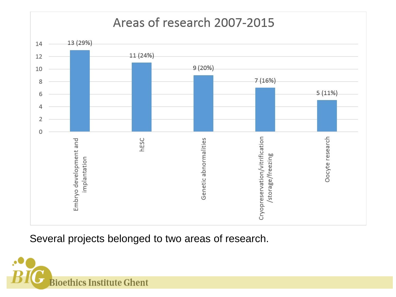#### Areas of research 2007-2015



Several projects belonged to two areas of research.

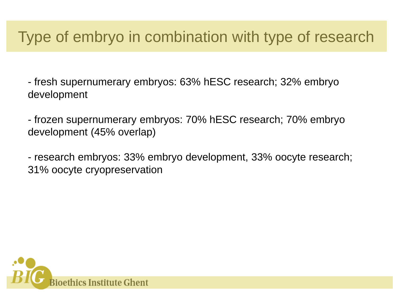#### Type of embryo in combination with type of research

- fresh supernumerary embryos: 63% hESC research; 32% embryo development

- frozen supernumerary embryos: 70% hESC research; 70% embryo development (45% overlap)

- research embryos: 33% embryo development, 33% oocyte research; 31% oocyte cryopreservation

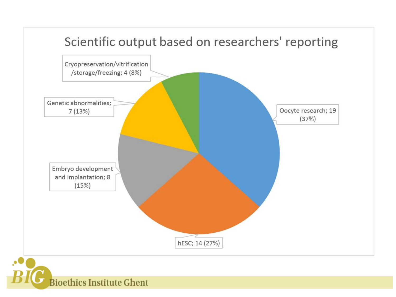

**Bioethics Institute Ghent**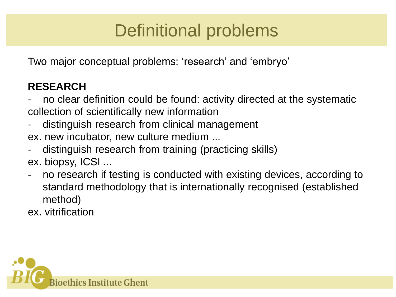# Definitional problems

Two major conceptual problems: 'research' and 'embryo'

#### **RESEARCH**

- no clear definition could be found: activity directed at the systematic collection of scientifically new information
- distinguish research from clinical management ex. new incubator, new culture medium ...
- distinguish research from training (practicing skills) ex. biopsy, ICSI ...
- no research if testing is conducted with existing devices, according to standard methodology that is internationally recognised (established method)

ex. vitrification

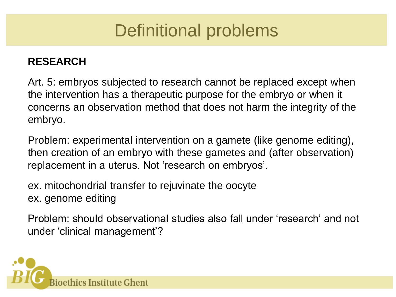## Definitional problems

#### **RESEARCH**

Art. 5: embryos subjected to research cannot be replaced except when the intervention has a therapeutic purpose for the embryo or when it concerns an observation method that does not harm the integrity of the embryo.

Problem: experimental intervention on a gamete (like genome editing), then creation of an embryo with these gametes and (after observation) replacement in a uterus. Not 'research on embryos'.

ex. mitochondrial transfer to rejuvinate the oocyte ex. genome editing

Problem: should observational studies also fall under 'research' and not under 'clinical management'?

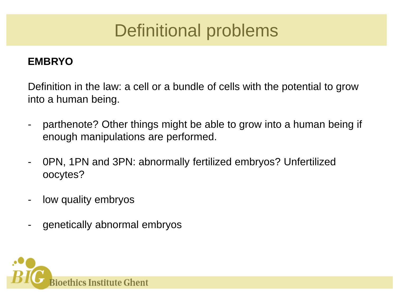## Definitional problems

#### **EMBRYO**

Definition in the law: a cell or a bundle of cells with the potential to grow into a human being.

- parthenote? Other things might be able to grow into a human being if enough manipulations are performed.
- 0PN, 1PN and 3PN: abnormally fertilized embryos? Unfertilized oocytes?
- low quality embryos
- genetically abnormal embryos

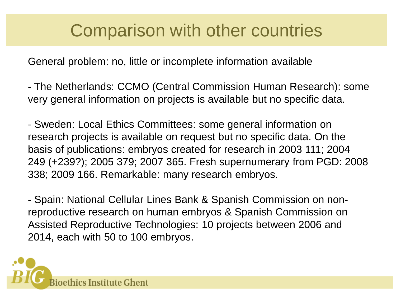#### Comparison with other countries

General problem: no, little or incomplete information available

- The Netherlands: CCMO (Central Commission Human Research): some very general information on projects is available but no specific data.

- Sweden: Local Ethics Committees: some general information on research projects is available on request but no specific data. On the basis of publications: embryos created for research in 2003 111; 2004 249 (+239?); 2005 379; 2007 365. Fresh supernumerary from PGD: 2008 338; 2009 166. Remarkable: many research embryos.

- Spain: National Cellular Lines Bank & Spanish Commission on nonreproductive research on human embryos & Spanish Commission on Assisted Reproductive Technologies: 10 projects between 2006 and 2014, each with 50 to 100 embryos.

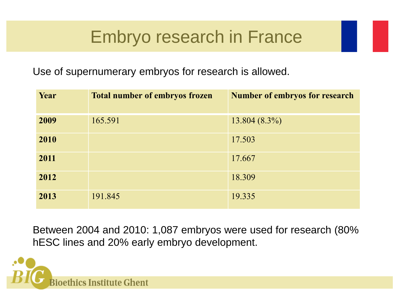#### Embryo research in France

Use of supernumerary embryos for research is allowed.

| Year | <b>Total number of embryos frozen</b> | <b>Number of embryos for research</b> |
|------|---------------------------------------|---------------------------------------|
| 2009 | 165.591                               | $13.804(8.3\%)$                       |
| 2010 |                                       | 17.503                                |
| 2011 |                                       | 17.667                                |
| 2012 |                                       | 18.309                                |
| 2013 | 191.845                               | 19.335                                |

Between 2004 and 2010: 1,087 embryos were used for research (80% hESC lines and 20% early embryo development.

thics Institute Ghent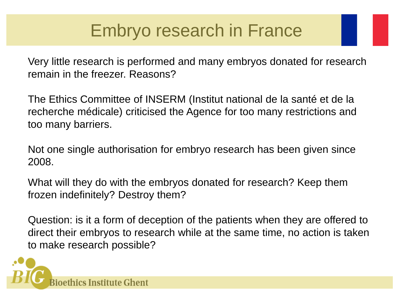## Embryo research in France

Very little research is performed and many embryos donated for research remain in the freezer. Reasons?

The Ethics Committee of INSERM (Institut national de la santé et de la recherche médicale) criticised the Agence for too many restrictions and too many barriers.

Not one single authorisation for embryo research has been given since 2008.

What will they do with the embryos donated for research? Keep them frozen indefinitely? Destroy them?

Question: is it a form of deception of the patients when they are offered to direct their embryos to research while at the same time, no action is taken to make research possible?

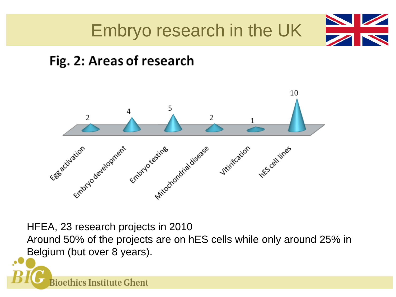

#### Fig. 2: Areas of research



HFEA, 23 research projects in 2010

Around 50% of the projects are on hES cells while only around 25% in Belgium (but over 8 years).

 $\bullet$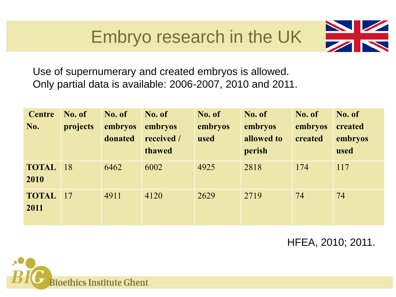## Embryo research in the UK



Use of supernumerary and created embryos is allowed. Only partial data is available: 2006-2007, 2010 and 2011.

| <b>Centre</b><br>No. | No. of<br>projects | No. of<br>embryos<br>donated | No. of<br>embryos<br>received /<br>thawed | No. of<br>embryos<br>used | No. of<br>embryos<br>allowed to<br>perish | No. of<br>embryos<br>created | No. of<br>created<br>embryos<br>used |
|----------------------|--------------------|------------------------------|-------------------------------------------|---------------------------|-------------------------------------------|------------------------------|--------------------------------------|
| <b>TOTAL</b><br>2010 | <sup>18</sup>      | 6462                         | 6002                                      | 4925                      | 2818                                      | 174                          | 117                                  |
| <b>TOTAL</b><br>2011 | 17                 | 4911                         | 4120                                      | 2629                      | 2719                                      | 74                           | 74                                   |

HFEA, 2010; 2011.

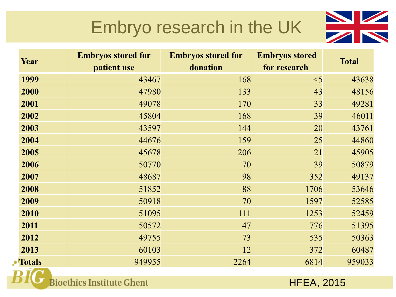# Embryo research in the UK



| Year          | <b>Embryos stored for</b> | <b>Embryos stored for</b> | <b>Embryos stored</b> | <b>Total</b> |
|---------------|---------------------------|---------------------------|-----------------------|--------------|
|               | patient use               | donation                  | for research          |              |
| 1999          | 43467                     | 168                       | $<$ 5                 | 43638        |
| 2000          | 47980                     | 133                       | 43                    | 48156        |
| 2001          | 49078                     | 170                       | 33                    | 49281        |
| 2002          | 45804                     | 168                       | 39                    | 46011        |
| 2003          | 43597                     | 144                       | 20                    | 43761        |
| 2004          | 44676                     | 159                       | 25                    | 44860        |
| 2005          | 45678                     | 206                       | 21                    | 45905        |
| 2006          | 50770                     | 70                        | 39                    | 50879        |
| 2007          | 48687                     | 98                        | 352                   | 49137        |
| 2008          | 51852                     | 88                        | 1706                  | 53646        |
| 2009          | 50918                     | 70                        | 1597                  | 52585        |
| 2010          | 51095                     | 111                       | 1253                  | 52459        |
| 2011          | 50572                     | 47                        | 776                   | 51395        |
| 2012          | 49755                     | 73                        | 535                   | 50363        |
| 2013          | 60103                     | 12                        | 372                   | 60487        |
| <b>Totals</b> | 949955                    | 2264                      | 6814                  | 959033       |

**Bioethics Institute Ghent** 

 $\cdot^{\bullet}$ 

HFEA, 2015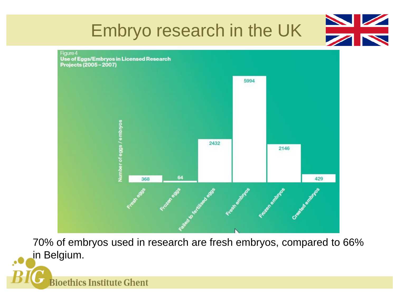

Projects (2005-2007)



70% of embryos used in research are fresh embryos, compared to 66% in Belgium.

**Bioethics Institute Ghent**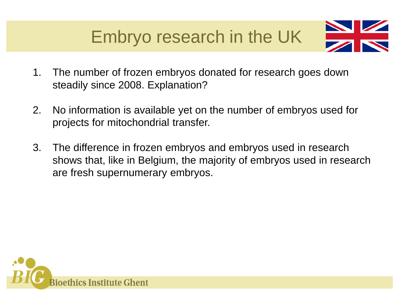

- 1. The number of frozen embryos donated for research goes down steadily since 2008. Explanation?
- 2. No information is available yet on the number of embryos used for projects for mitochondrial transfer.
- 3. The difference in frozen embryos and embryos used in research shows that, like in Belgium, the majority of embryos used in research are fresh supernumerary embryos.